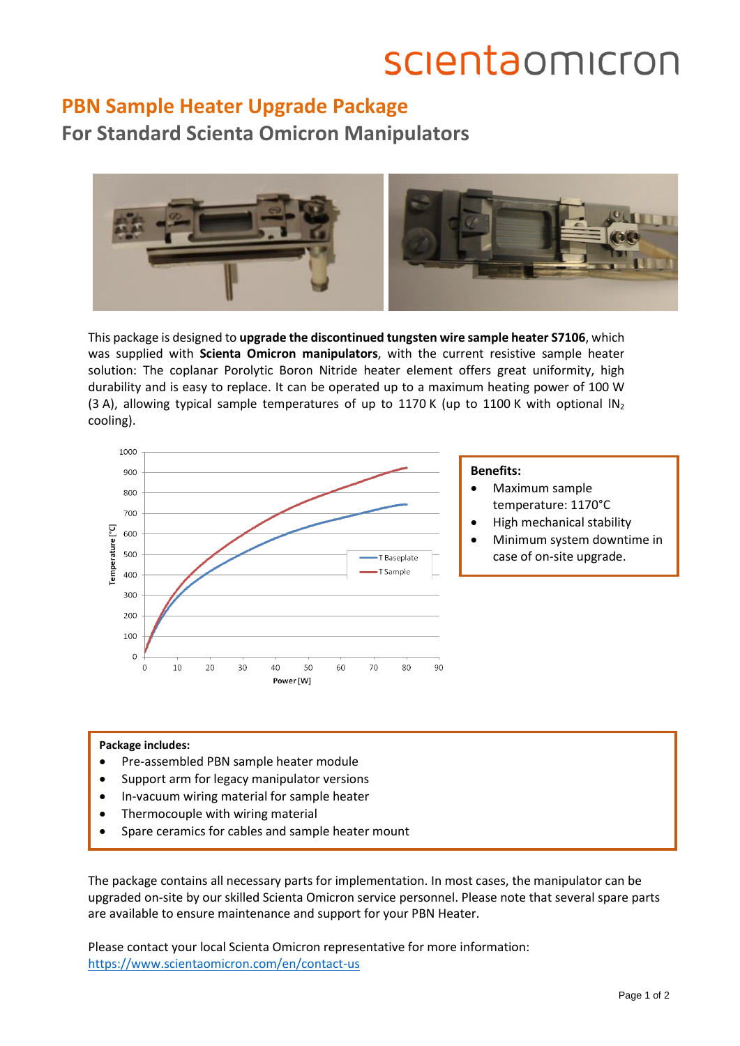## scientaomicron

### **PBN Sample Heater Upgrade Package**

**For Standard Scienta Omicron Manipulators** 



This package is designed to **upgrade the discontinued tungsten wire sample heater S7106**, which was supplied with **Scienta Omicron manipulators**, with the current resistive sample heater solution: The coplanar Porolytic Boron Nitride heater element offers great uniformity, high durability and is easy to replace. It can be operated up to a maximum heating power of 100 W (3 A), allowing typical sample temperatures of up to 1170 K (up to 1100 K with optional  $N_2$ cooling).



#### **Benefits:**

- Maximum sample temperature: 1170°C
- High mechanical stability
- Minimum system downtime in case of on-site upgrade.

#### **Package includes:**

- Pre-assembled PBN sample heater module
- Support arm for legacy manipulator versions
- In-vacuum wiring material for sample heater
- Thermocouple with wiring material
- Spare ceramics for cables and sample heater mount

The package contains all necessary parts for implementation. In most cases, the manipulator can be upgraded on-site by our skilled Scienta Omicron service personnel. Please note that several spare parts are available to ensure maintenance and support for your PBN Heater.

Please contact your local Scienta Omicron representative for more information: <https://www.scientaomicron.com/en/contact-us>